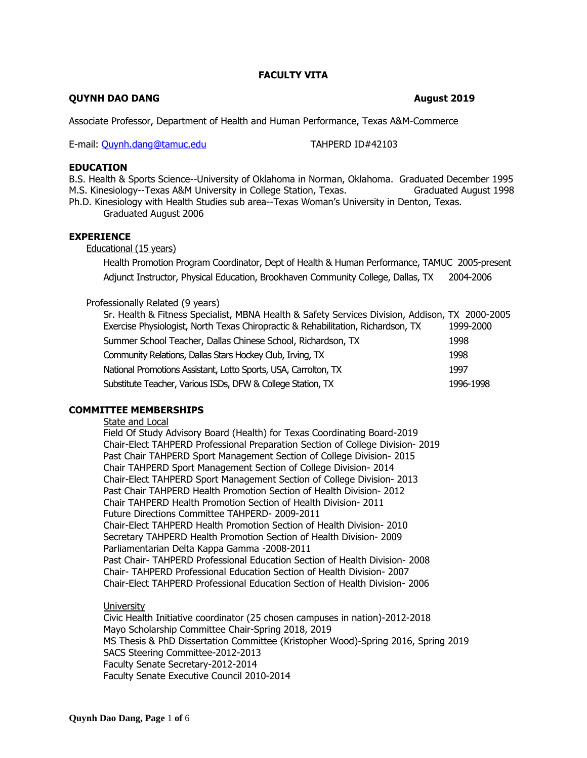# **FACULTY VITA**

# **QUYNH DAO DANG August 2019**

Associate Professor, Department of Health and Human Performance, Texas A&M-Commerce

E-mail: [Quynh.dang@tamuc.edu](mailto:Quynh.dang@tamuc.edu) TAHPERD ID#42103

# **EDUCATION**

B.S. Health & Sports Science--University of Oklahoma in Norman, Oklahoma. Graduated December 1995 M.S. Kinesiology--Texas A&M University in College Station, Texas. Graduated August 1998 Ph.D. Kinesiology with Health Studies sub area--Texas Woman's University in Denton, Texas. Graduated August 2006

**EXPERIENCE**

Educational (15 years)

Health Promotion Program Coordinator, Dept of Health & Human Performance, TAMUC 2005-present Adjunct Instructor, Physical Education, Brookhaven Community College, Dallas, TX 2004-2006

## Professionally Related (9 years)

| Sr. Health & Fitness Specialist, MBNA Health & Safety Services Division, Addison, TX 2000-2005 |           |
|------------------------------------------------------------------------------------------------|-----------|
| Exercise Physiologist, North Texas Chiropractic & Rehabilitation, Richardson, TX               | 1999-2000 |
| Summer School Teacher, Dallas Chinese School, Richardson, TX                                   | 1998      |
| Community Relations, Dallas Stars Hockey Club, Irving, TX                                      | 1998      |
| National Promotions Assistant, Lotto Sports, USA, Carrolton, TX                                | 1997      |
| Substitute Teacher, Various ISDs, DFW & College Station, TX                                    | 1996-1998 |

## **COMMITTEE MEMBERSHIPS**

State and Local

Field Of Study Advisory Board (Health) for Texas Coordinating Board-2019 Chair-Elect TAHPERD Professional Preparation Section of College Division- 2019 Past Chair TAHPERD Sport Management Section of College Division- 2015 Chair TAHPERD Sport Management Section of College Division- 2014 Chair-Elect TAHPERD Sport Management Section of College Division- 2013 Past Chair TAHPERD Health Promotion Section of Health Division- 2012 Chair TAHPERD Health Promotion Section of Health Division- 2011 Future Directions Committee TAHPERD- 2009-2011 Chair-Elect TAHPERD Health Promotion Section of Health Division- 2010 Secretary TAHPERD Health Promotion Section of Health Division- 2009 Parliamentarian Delta Kappa Gamma -2008-2011 Past Chair- TAHPERD Professional Education Section of Health Division- 2008 Chair- TAHPERD Professional Education Section of Health Division- 2007 Chair-Elect TAHPERD Professional Education Section of Health Division- 2006

## University

Civic Health Initiative coordinator (25 chosen campuses in nation)-2012-2018 Mayo Scholarship Committee Chair-Spring 2018, 2019 MS Thesis & PhD Dissertation Committee (Kristopher Wood)-Spring 2016, Spring 2019 SACS Steering Committee-2012-2013 Faculty Senate Secretary-2012-2014 Faculty Senate Executive Council 2010-2014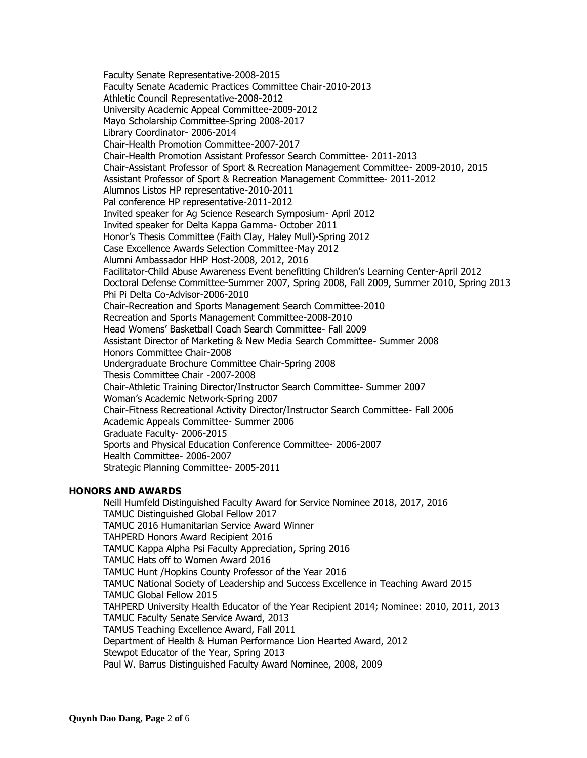Faculty Senate Representative-2008-2015 Faculty Senate Academic Practices Committee Chair-2010-2013 Athletic Council Representative-2008-2012 University Academic Appeal Committee-2009-2012 Mayo Scholarship Committee-Spring 2008-2017 Library Coordinator- 2006-2014 Chair-Health Promotion Committee-2007-2017 Chair-Health Promotion Assistant Professor Search Committee- 2011-2013 Chair-Assistant Professor of Sport & Recreation Management Committee- 2009-2010, 2015 Assistant Professor of Sport & Recreation Management Committee- 2011-2012 Alumnos Listos HP representative-2010-2011 Pal conference HP representative-2011-2012 Invited speaker for Ag Science Research Symposium- April 2012 Invited speaker for Delta Kappa Gamma- October 2011 Honor's Thesis Committee (Faith Clay, Haley Mull)-Spring 2012 Case Excellence Awards Selection Committee-May 2012 Alumni Ambassador HHP Host-2008, 2012, 2016 Facilitator-Child Abuse Awareness Event benefitting Children's Learning Center-April 2012 Doctoral Defense Committee-Summer 2007, Spring 2008, Fall 2009, Summer 2010, Spring 2013 Phi Pi Delta Co-Advisor-2006-2010 Chair-Recreation and Sports Management Search Committee-2010 Recreation and Sports Management Committee-2008-2010 Head Womens' Basketball Coach Search Committee- Fall 2009 Assistant Director of Marketing & New Media Search Committee- Summer 2008 Honors Committee Chair-2008 Undergraduate Brochure Committee Chair-Spring 2008 Thesis Committee Chair -2007-2008 Chair-Athletic Training Director/Instructor Search Committee- Summer 2007 Woman's Academic Network-Spring 2007 Chair-Fitness Recreational Activity Director/Instructor Search Committee- Fall 2006 Academic Appeals Committee- Summer 2006 Graduate Faculty- 2006-2015 Sports and Physical Education Conference Committee- 2006-2007 Health Committee- 2006-2007 Strategic Planning Committee- 2005-2011

## **HONORS AND AWARDS**

Neill Humfeld Distinguished Faculty Award for Service Nominee 2018, 2017, 2016 TAMUC Distinguished Global Fellow 2017 TAMUC 2016 Humanitarian Service Award Winner TAHPERD Honors Award Recipient 2016 TAMUC Kappa Alpha Psi Faculty Appreciation, Spring 2016 TAMUC Hats off to Women Award 2016 TAMUC Hunt /Hopkins County Professor of the Year 2016 TAMUC National Society of Leadership and Success Excellence in Teaching Award 2015 TAMUC Global Fellow 2015 TAHPERD University Health Educator of the Year Recipient 2014; Nominee: 2010, 2011, 2013 TAMUC Faculty Senate Service Award, 2013 TAMUS Teaching Excellence Award, Fall 2011 Department of Health & Human Performance Lion Hearted Award, 2012 Stewpot Educator of the Year, Spring 2013 Paul W. Barrus Distinguished Faculty Award Nominee, 2008, 2009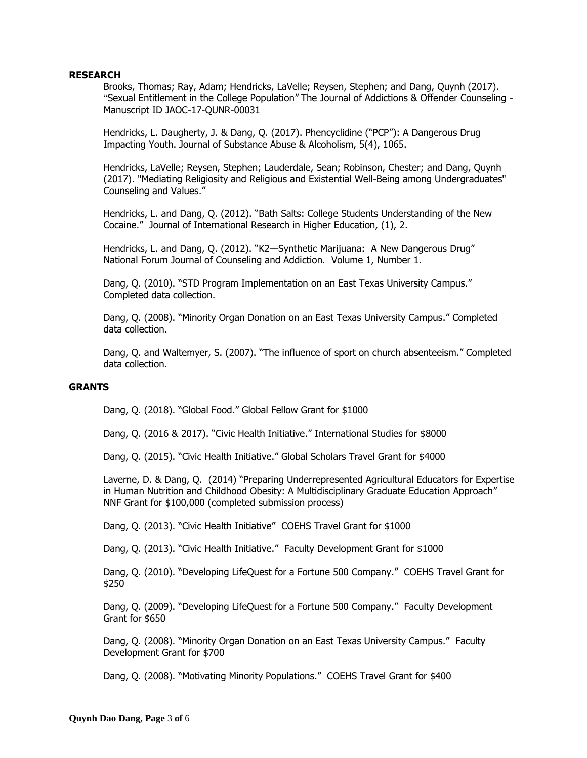## **RESEARCH**

Brooks, Thomas; Ray, Adam; Hendricks, LaVelle; Reysen, Stephen; and Dang, Quynh (2017). "Sexual Entitlement in the College Population" The Journal of Addictions & Offender Counseling - Manuscript ID JAOC-17-QUNR-00031

Hendricks, L. Daugherty, J. & Dang, Q. (2017). Phencyclidine ("PCP"): A Dangerous Drug Impacting Youth. Journal of Substance Abuse & Alcoholism, 5(4), 1065.

Hendricks, LaVelle; Reysen, Stephen; Lauderdale, Sean; Robinson, Chester; and Dang, Quynh (2017). "Mediating Religiosity and Religious and Existential Well-Being among Undergraduates" Counseling and Values."

Hendricks, L. and Dang, Q. (2012). "Bath Salts: College Students Understanding of the New Cocaine." Journal of International Research in Higher Education, (1), 2.

Hendricks, L. and Dang, Q. (2012). "K2—Synthetic Marijuana: A New Dangerous Drug" National Forum Journal of Counseling and Addiction. Volume 1, Number 1.

Dang, Q. (2010). "STD Program Implementation on an East Texas University Campus." Completed data collection.

Dang, Q. (2008). "Minority Organ Donation on an East Texas University Campus." Completed data collection.

Dang, Q. and Waltemyer, S. (2007). "The influence of sport on church absenteeism." Completed data collection.

#### **GRANTS**

Dang, Q. (2018). "Global Food." Global Fellow Grant for \$1000

Dang, Q. (2016 & 2017). "Civic Health Initiative." International Studies for \$8000

Dang, Q. (2015). "Civic Health Initiative." Global Scholars Travel Grant for \$4000

Laverne, D. & Dang, Q. (2014) "Preparing Underrepresented Agricultural Educators for Expertise in Human Nutrition and Childhood Obesity: A Multidisciplinary Graduate Education Approach" NNF Grant for \$100,000 (completed submission process)

Dang, Q. (2013). "Civic Health Initiative" COEHS Travel Grant for \$1000

Dang, Q. (2013). "Civic Health Initiative." Faculty Development Grant for \$1000

Dang, Q. (2010). "Developing LifeQuest for a Fortune 500 Company." COEHS Travel Grant for \$250

Dang, Q. (2009). "Developing LifeQuest for a Fortune 500 Company." Faculty Development Grant for \$650

Dang, Q. (2008). "Minority Organ Donation on an East Texas University Campus." Faculty Development Grant for \$700

Dang, Q. (2008). "Motivating Minority Populations." COEHS Travel Grant for \$400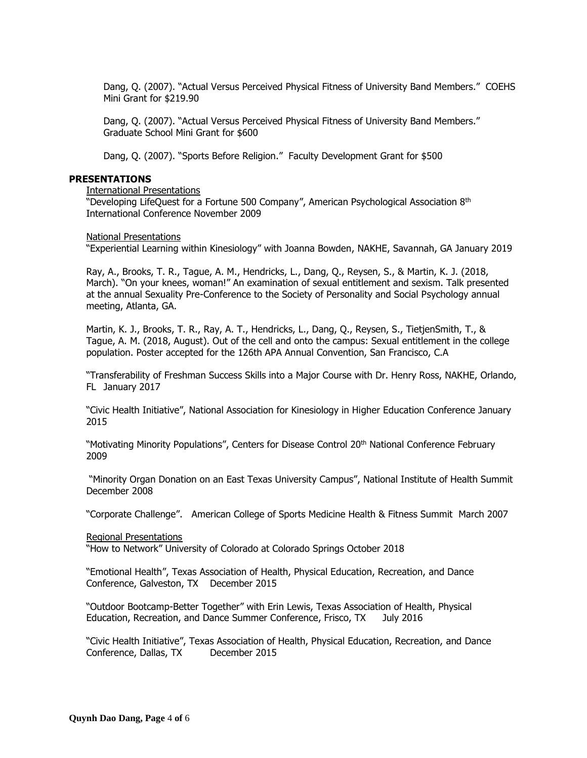Dang, Q. (2007). "Actual Versus Perceived Physical Fitness of University Band Members." COEHS Mini Grant for \$219.90

Dang, Q. (2007). "Actual Versus Perceived Physical Fitness of University Band Members." Graduate School Mini Grant for \$600

Dang, Q. (2007). "Sports Before Religion." Faculty Development Grant for \$500

#### **PRESENTATIONS**

International Presentations

"Developing LifeQuest for a Fortune 500 Company", American Psychological Association 8th International Conference November 2009

National Presentations

"Experiential Learning within Kinesiology" with Joanna Bowden, NAKHE, Savannah, GA January 2019

Ray, A., Brooks, T. R., Tague, A. M., Hendricks, L., Dang, Q., Reysen, S., & Martin, K. J. (2018, March). "On your knees, woman!" An examination of sexual entitlement and sexism. Talk presented at the annual Sexuality Pre-Conference to the Society of Personality and Social Psychology annual meeting, Atlanta, GA.

Martin, K. J., Brooks, T. R., Ray, A. T., Hendricks, L., Dang, Q., Reysen, S., TietjenSmith, T., & Tague, A. M. (2018, August). Out of the cell and onto the campus: Sexual entitlement in the college population. Poster accepted for the 126th APA Annual Convention, San Francisco, C.A

"Transferability of Freshman Success Skills into a Major Course with Dr. Henry Ross, NAKHE, Orlando, FL January 2017

"Civic Health Initiative", National Association for Kinesiology in Higher Education Conference January 2015

"Motivating Minority Populations", Centers for Disease Control 20th National Conference February 2009

"Minority Organ Donation on an East Texas University Campus", National Institute of Health Summit December 2008

"Corporate Challenge". American College of Sports Medicine Health & Fitness Summit March 2007

Regional Presentations

"How to Network" University of Colorado at Colorado Springs October 2018

"Emotional Health", Texas Association of Health, Physical Education, Recreation, and Dance Conference, Galveston, TX December 2015

"Outdoor Bootcamp-Better Together" with Erin Lewis, Texas Association of Health, Physical Education, Recreation, and Dance Summer Conference, Frisco, TX July 2016

"Civic Health Initiative", Texas Association of Health, Physical Education, Recreation, and Dance Conference, Dallas, TX December 2015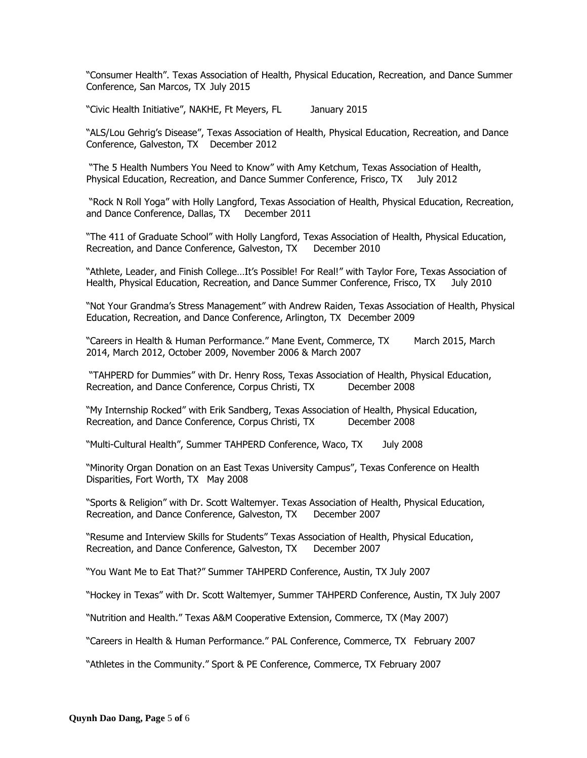"Consumer Health". Texas Association of Health, Physical Education, Recreation, and Dance Summer Conference, San Marcos, TX July 2015

"Civic Health Initiative", NAKHE, Ft Meyers, FL January 2015

"ALS/Lou Gehrig's Disease", Texas Association of Health, Physical Education, Recreation, and Dance Conference, Galveston, TX December 2012

"The 5 Health Numbers You Need to Know" with Amy Ketchum, Texas Association of Health, Physical Education, Recreation, and Dance Summer Conference, Frisco, TX July 2012

"Rock N Roll Yoga" with Holly Langford, Texas Association of Health, Physical Education, Recreation, and Dance Conference, Dallas, TX December 2011

"The 411 of Graduate School" with Holly Langford, Texas Association of Health, Physical Education, Recreation, and Dance Conference, Galveston, TX December 2010

"Athlete, Leader, and Finish College…It's Possible! For Real!" with Taylor Fore, Texas Association of Health, Physical Education, Recreation, and Dance Summer Conference, Frisco, TX July 2010

"Not Your Grandma's Stress Management" with Andrew Raiden, Texas Association of Health, Physical Education, Recreation, and Dance Conference, Arlington, TX December 2009

"Careers in Health & Human Performance." Mane Event, Commerce, TX March 2015, March 2014, March 2012, October 2009, November 2006 & March 2007

"TAHPERD for Dummies" with Dr. Henry Ross, Texas Association of Health, Physical Education, Recreation, and Dance Conference, Corpus Christi, TX December 2008

"My Internship Rocked" with Erik Sandberg, Texas Association of Health, Physical Education, Recreation, and Dance Conference, Corpus Christi, TX December 2008

"Multi-Cultural Health", Summer TAHPERD Conference, Waco, TX July 2008

"Minority Organ Donation on an East Texas University Campus", Texas Conference on Health Disparities, Fort Worth, TX May 2008

"Sports & Religion" with Dr. Scott Waltemyer. Texas Association of Health, Physical Education, Recreation, and Dance Conference, Galveston, TX

"Resume and Interview Skills for Students" Texas Association of Health, Physical Education, Recreation, and Dance Conference, Galveston, TX December 2007

"You Want Me to Eat That?" Summer TAHPERD Conference, Austin, TX July 2007

"Hockey in Texas" with Dr. Scott Waltemyer, Summer TAHPERD Conference, Austin, TX July 2007

"Nutrition and Health." Texas A&M Cooperative Extension, Commerce, TX (May 2007)

"Careers in Health & Human Performance." PAL Conference, Commerce, TX February 2007

"Athletes in the Community." Sport & PE Conference, Commerce, TX February 2007